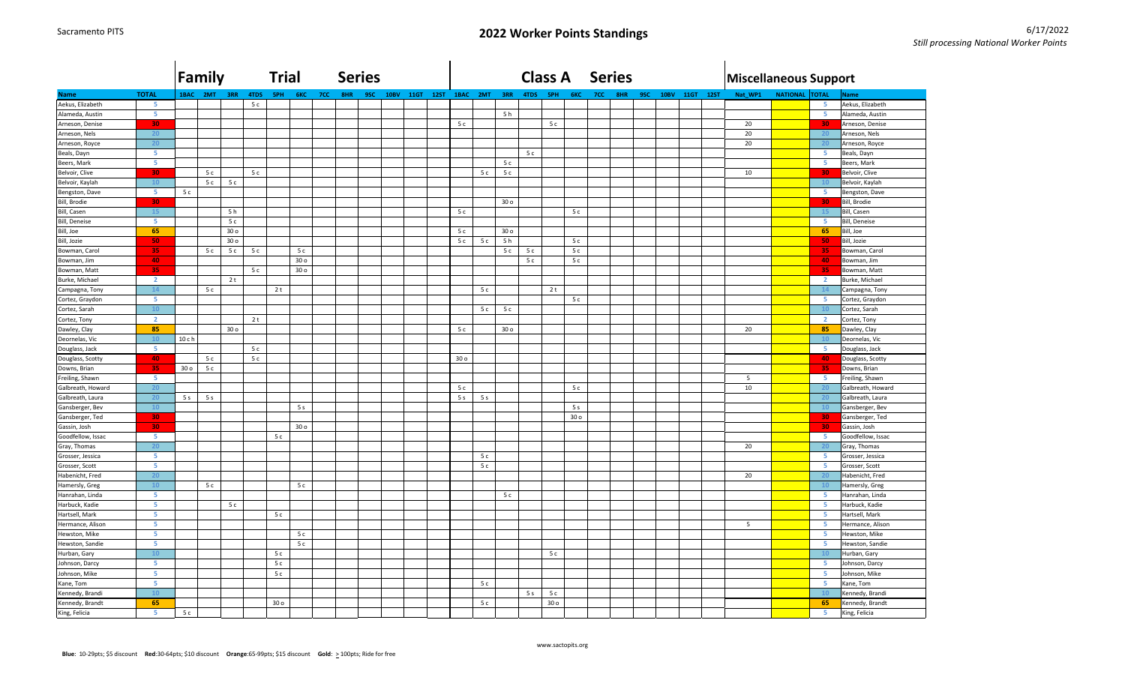|                   |                | Family          |                |                 |                | <b>Trial</b>    |                 |     | <b>Series</b> |     |             |      |      |                 |                |                 |                | <b>Class A</b>  |                 |            | <b>Series</b> |     |             |             |             | <b>Miscellaneous Support</b> |                 |                         |                      |
|-------------------|----------------|-----------------|----------------|-----------------|----------------|-----------------|-----------------|-----|---------------|-----|-------------|------|------|-----------------|----------------|-----------------|----------------|-----------------|-----------------|------------|---------------|-----|-------------|-------------|-------------|------------------------------|-----------------|-------------------------|----------------------|
| <b>Name</b>       | <b>TOTAL</b>   | 1BAC            | 2MT            | 3RR             | 4TDS           | <b>SPH</b>      | 6KC             | 7CC | 8HR           | 9SC | <b>10BV</b> | 11GT | 12ST |                 | 1BAC 2MT       | 3RR             | 4TDS           | <b>SPH</b>      | 6KC             | <b>7CC</b> | 8HR           | 9SC | <b>10BV</b> | <b>11GT</b> | <b>12ST</b> | Nat_WP1                      | <b>NATIONAL</b> | <b>TOTAL</b>            | <b>Name</b>          |
| Aekus, Elizabeth  | -5.            |                 |                |                 | 5c             |                 |                 |     |               |     |             |      |      |                 |                |                 |                |                 |                 |            |               |     |             |             |             |                              |                 | -51                     | Aekus, Elizabeth     |
| Alameda, Austin   | 5              |                 |                |                 |                |                 |                 |     |               |     |             |      |      |                 |                | 5h              |                |                 |                 |            |               |     |             |             |             |                              |                 | $\overline{\mathbf{5}}$ | Alameda, Austin      |
| Arneson, Denise   | 30             |                 |                |                 |                |                 |                 |     |               |     |             |      |      | 5 c             |                |                 |                | 5c              |                 |            |               |     |             |             |             | 20                           |                 | 30 <sub>1</sub>         | Arneson, Denise      |
| Arneson, Nels     | 20             |                 |                |                 |                |                 |                 |     |               |     |             |      |      |                 |                |                 |                |                 |                 |            |               |     |             |             |             | 20                           |                 | 20                      | Arneson, Nels        |
| Arneson, Royce    | 20             |                 |                |                 |                |                 |                 |     |               |     |             |      |      |                 |                |                 |                |                 |                 |            |               |     |             |             |             | 20                           |                 | 20 <sub>2</sub>         | Arneson, Royce       |
| Beals, Dayn       | 5              |                 |                |                 |                |                 |                 |     |               |     |             |      |      |                 |                |                 | 5 c            |                 |                 |            |               |     |             |             |             |                              |                 | 5                       | Beals, Dayn          |
| Beers, Mark       | 5              |                 |                |                 |                |                 |                 |     |               |     |             |      |      |                 |                | 5c              |                |                 |                 |            |               |     |             |             |             |                              |                 | 5                       | Beers, Mark          |
| Belvoir, Clive    | 30             |                 | 5c             |                 | 5c             |                 |                 |     |               |     |             |      |      |                 | 5c             | 5c              |                |                 |                 |            |               |     |             |             |             | 10                           |                 | 30                      | Belvoir, Clive       |
| Belvoir, Kaylah   | 10             |                 | 5c             | 5c              |                |                 |                 |     |               |     |             |      |      |                 |                |                 |                |                 |                 |            |               |     |             |             |             |                              |                 | 10                      | Belvoir, Kaylah      |
| Bengston, Dave    | -5             | 5c              |                |                 |                |                 |                 |     |               |     |             |      |      |                 |                |                 |                |                 |                 |            |               |     |             |             |             |                              |                 | 5 <sub>1</sub>          | Bengston, Dave       |
| Bill, Brodie      | 30             |                 |                |                 |                |                 |                 |     |               |     |             |      |      |                 |                | 30 o            |                |                 |                 |            |               |     |             |             |             |                              |                 | 30                      | Bill, Brodie         |
| Bill, Casen       | <b>15</b>      |                 |                | 5 h             |                |                 |                 |     |               |     |             |      |      | 5 c             |                |                 |                |                 | 5c              |            |               |     |             |             |             |                              |                 | 15                      | Bill, Casen          |
| Bill, Deneise     | 5              |                 |                | 5c              |                |                 |                 |     |               |     |             |      |      |                 |                |                 |                |                 |                 |            |               |     |             |             |             |                              |                 | 5                       | <b>Bill, Deneise</b> |
| Bill, Joe         | 65             |                 |                | 30 <sub>o</sub> |                |                 |                 |     |               |     |             |      |      | 5 c             |                | 30 <sub>o</sub> |                |                 |                 |            |               |     |             |             |             |                              |                 | 65                      | Bill, Joe            |
| Bill, Jozie       | 50             |                 |                | 30 <sub>o</sub> |                |                 |                 |     |               |     |             |      |      | 5c              | 5c             | 5 <sub>h</sub>  |                |                 | 5c              |            |               |     |             |             |             |                              |                 | 50                      | Bill, Jozie          |
| Bowman, Carol     | 35             |                 | 5c             | 5c              | 5c             |                 | 5c              |     |               |     |             |      |      |                 |                | 5c              | 5c             |                 | 5c              |            |               |     |             |             |             |                              |                 | 35                      | Bowman, Carol        |
| Bowman, Jim       | 40             |                 |                |                 |                |                 | 30 o            |     |               |     |             |      |      |                 |                |                 | 5 c            |                 | 5c              |            |               |     |             |             |             |                              |                 | 40                      | Bowman, Jim          |
| Bowman, Matt      | 35             |                 |                |                 | 5c             |                 | 30 <sub>o</sub> |     |               |     |             |      |      |                 |                |                 |                |                 |                 |            |               |     |             |             |             |                              |                 | 35                      | Bowman, Matt         |
| Burke, Michael    | $\overline{2}$ |                 |                | 2t              |                |                 |                 |     |               |     |             |      |      |                 |                |                 |                |                 |                 |            |               |     |             |             |             |                              |                 | $\overline{2}$          | Burke, Michael       |
| Campagna, Tony    | 14             |                 | 5c             |                 |                | 2t              |                 |     |               |     |             |      |      |                 | 5c             |                 |                | 2t              |                 |            |               |     |             |             |             |                              |                 | 14                      | Campagna, Tony       |
| Cortez, Graydon   | -5             |                 |                |                 |                |                 |                 |     |               |     |             |      |      |                 |                |                 |                |                 | 5c              |            |               |     |             |             |             |                              |                 | 5                       | Cortez, Graydon      |
| Cortez, Sarah     | 10             |                 |                |                 |                |                 |                 |     |               |     |             |      |      |                 | 5c             | 5c              |                |                 |                 |            |               |     |             |             |             |                              |                 | 10                      | Cortez, Sarah        |
| Cortez, Tony      | $\overline{2}$ |                 |                |                 | 2 <sub>t</sub> |                 |                 |     |               |     |             |      |      |                 |                |                 |                |                 |                 |            |               |     |             |             |             |                              |                 | $\overline{2}$          | Cortez, Tony         |
| Dawley, Clay      | 85             |                 |                | 30 <sub>o</sub> |                |                 |                 |     |               |     |             |      |      | 5c              |                | 30 <sub>o</sub> |                |                 |                 |            |               |     |             |             |             | 20                           |                 | 85                      | Dawley, Clay         |
| Deornelas, Vic    | 10             | 10 c h          |                |                 |                |                 |                 |     |               |     |             |      |      |                 |                |                 |                |                 |                 |            |               |     |             |             |             |                              |                 | 10                      | Deornelas, Vic       |
| Douglass, Jack    | -51            |                 |                |                 | 5c             |                 |                 |     |               |     |             |      |      |                 |                |                 |                |                 |                 |            |               |     |             |             |             |                              |                 | -5                      | Douglass, Jack       |
| Douglass, Scotty  | 40             |                 | 5 c            |                 | 5c             |                 |                 |     |               |     |             |      |      | 30 <sub>o</sub> |                |                 |                |                 |                 |            |               |     |             |             |             |                              |                 | 40                      | Douglass, Scotty     |
| Downs, Brian      | 35             | 30 <sub>o</sub> | 5c             |                 |                |                 |                 |     |               |     |             |      |      |                 |                |                 |                |                 |                 |            |               |     |             |             |             |                              |                 | 35                      | Downs, Brian         |
| Freiling, Shawn   | -5             |                 |                |                 |                |                 |                 |     |               |     |             |      |      |                 |                |                 |                |                 |                 |            |               |     |             |             |             | 5                            |                 | $-5$                    | Freiling, Shawn      |
| Galbreath, Howard | 20             |                 |                |                 |                |                 |                 |     |               |     |             |      |      | 5c              |                |                 |                |                 | 5c              |            |               |     |             |             |             | 10                           |                 | 20                      | Galbreath, Howard    |
| Galbreath, Laura  | 20             | 5 <sub>s</sub>  | 5 <sub>s</sub> |                 |                |                 |                 |     |               |     |             |      |      | 5 <sub>s</sub>  | 5 <sub>s</sub> |                 |                |                 |                 |            |               |     |             |             |             |                              |                 | 20                      | Galbreath, Laura     |
| Gansberger, Bev   | 10             |                 |                |                 |                |                 | 5 <sub>s</sub>  |     |               |     |             |      |      |                 |                |                 |                |                 | 5s              |            |               |     |             |             |             |                              |                 | 10                      | Gansberger, Bev      |
| Gansberger, Ted   | -30            |                 |                |                 |                |                 |                 |     |               |     |             |      |      |                 |                |                 |                |                 | 30 <sub>o</sub> |            |               |     |             |             |             |                              |                 | 30                      | Gansberger, Ted      |
| Gassin, Josh      | 30             |                 |                |                 |                |                 | 30 o            |     |               |     |             |      |      |                 |                |                 |                |                 |                 |            |               |     |             |             |             |                              |                 | 30                      | Gassin, Josh         |
| Goodfellow, Issac | 5              |                 |                |                 |                | 5c              |                 |     |               |     |             |      |      |                 |                |                 |                |                 |                 |            |               |     |             |             |             |                              |                 | 5                       | Goodfellow, Issac    |
| Gray, Thomas      | 20             |                 |                |                 |                |                 |                 |     |               |     |             |      |      |                 |                |                 |                |                 |                 |            |               |     |             |             |             | 20                           |                 | 20                      | Gray, Thomas         |
| Grosser, Jessica  | -5             |                 |                |                 |                |                 |                 |     |               |     |             |      |      |                 | 5c             |                 |                |                 |                 |            |               |     |             |             |             |                              |                 | 5.                      | Grosser, Jessica     |
| Grosser, Scott    | 5              |                 |                |                 |                |                 |                 |     |               |     |             |      |      |                 | 5c             |                 |                |                 |                 |            |               |     |             |             |             |                              |                 | 5 <sub>1</sub>          | Grosser, Scott       |
| Habenicht, Fred   | 20             |                 |                |                 |                |                 |                 |     |               |     |             |      |      |                 |                |                 |                |                 |                 |            |               |     |             |             |             | 20                           |                 | 20                      | Habenicht, Fred      |
| Hamersly, Greg    | 10             |                 | 5c             |                 |                |                 | 5c              |     |               |     |             |      |      |                 |                |                 |                |                 |                 |            |               |     |             |             |             |                              |                 | 10                      | Hamersly, Greg       |
| Hanrahan, Linda   | 5              |                 |                |                 |                |                 |                 |     |               |     |             |      |      |                 |                | 5c              |                |                 |                 |            |               |     |             |             |             |                              |                 | 5                       | Hanrahan, Linda      |
| Harbuck, Kadie    | 5              |                 |                | 5c              |                |                 |                 |     |               |     |             |      |      |                 |                |                 |                |                 |                 |            |               |     |             |             |             |                              |                 | 5                       | Harbuck, Kadie       |
| Hartsell, Mark    | 5              |                 |                |                 |                | 5c              |                 |     |               |     |             |      |      |                 |                |                 |                |                 |                 |            |               |     |             |             |             |                              |                 | 5                       | Hartsell, Mark       |
| Hermance, Alison  | 5              |                 |                |                 |                |                 |                 |     |               |     |             |      |      |                 |                |                 |                |                 |                 |            |               |     |             |             |             | 5                            |                 | 5                       | Hermance, Alison     |
| Hewston, Mike     | 5              |                 |                |                 |                |                 | 5c              |     |               |     |             |      |      |                 |                |                 |                |                 |                 |            |               |     |             |             |             |                              |                 | 5 <sub>1</sub>          | Hewston, Mike        |
| Hewston, Sandie   | 5              |                 |                |                 |                |                 | 5c              |     |               |     |             |      |      |                 |                |                 |                |                 |                 |            |               |     |             |             |             |                              |                 | 5                       | Hewston, Sandie      |
| Hurban, Gary      | 10             |                 |                |                 |                | 5c              |                 |     |               |     |             |      |      |                 |                |                 |                | 5c              |                 |            |               |     |             |             |             |                              |                 | 10                      | Hurban, Gary         |
| Johnson, Darcy    | 5              |                 |                |                 |                | 5c              |                 |     |               |     |             |      |      |                 |                |                 |                |                 |                 |            |               |     |             |             |             |                              |                 | 5                       | Johnson, Darcy       |
| Johnson, Mike     | 5              |                 |                |                 |                | 5c              |                 |     |               |     |             |      |      |                 |                |                 |                |                 |                 |            |               |     |             |             |             |                              |                 | 5                       | Johnson, Mike        |
| Kane, Tom         | 5              |                 |                |                 |                |                 |                 |     |               |     |             |      |      |                 | 5 c            |                 |                |                 |                 |            |               |     |             |             |             |                              |                 | 5                       | Kane, Tom            |
| Kennedy, Brandi   | 10             |                 |                |                 |                |                 |                 |     |               |     |             |      |      |                 |                |                 | 5 <sub>s</sub> | 5c              |                 |            |               |     |             |             |             |                              |                 | 10 <sup>°</sup>         | Kennedy, Brandi      |
| Kennedy, Brandt   | 65             |                 |                |                 |                | 30 <sub>o</sub> |                 |     |               |     |             |      |      |                 | 5c             |                 |                | 30 <sub>o</sub> |                 |            |               |     |             |             |             |                              |                 | 65                      | Kennedy, Brandt      |
| King, Felicia     | 5              | 5 c             |                |                 |                |                 |                 |     |               |     |             |      |      |                 |                |                 |                |                 |                 |            |               |     |             |             |             |                              |                 | 5 <sub>1</sub>          | King, Felicia        |
|                   |                |                 |                |                 |                |                 |                 |     |               |     |             |      |      |                 |                |                 |                |                 |                 |            |               |     |             |             |             |                              |                 |                         |                      |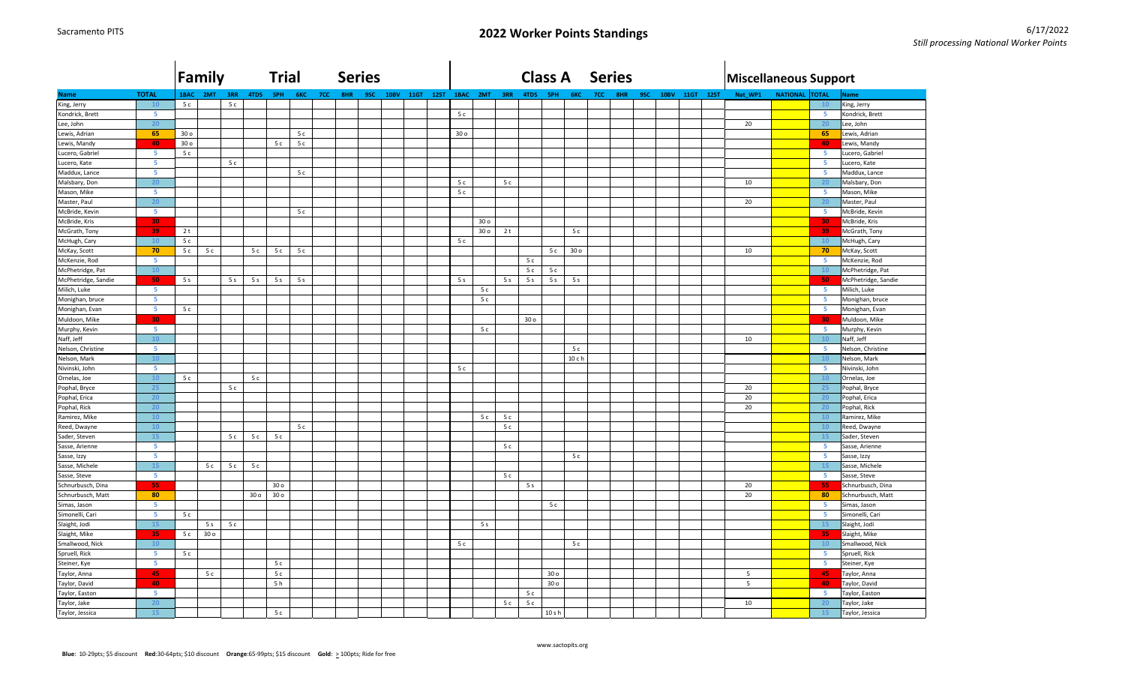|                     |              |                 | Family          |                |                 |                 | <b>Trial</b>   |     |     | <b>Series</b> |             |           |  |                 |                 |                |                 | <b>Class A</b>  |                 |            | <b>Series</b> |     |             |      |             | Miscellaneous Support |                       |                         |                     |
|---------------------|--------------|-----------------|-----------------|----------------|-----------------|-----------------|----------------|-----|-----|---------------|-------------|-----------|--|-----------------|-----------------|----------------|-----------------|-----------------|-----------------|------------|---------------|-----|-------------|------|-------------|-----------------------|-----------------------|-------------------------|---------------------|
| <b>Name</b>         | <b>TOTAL</b> | 1BAC            | 2MT             | 3RR            | 4TDS            | <b>SPH</b>      | 6KC            | 7CC | 8HR | 9SC           | <b>10BV</b> | 11GT 12ST |  |                 | 1BAC 2MT        | 3RR            | 4TDS            | 5PH             | 6KC             | <b>7CC</b> | 8HR           | 9SC | <b>10BV</b> | 11GT | <b>12ST</b> | Nat_WP1               | <b>NATIONAL TOTAL</b> |                         | <b>Name</b>         |
| King, Jerry         | 10           | 5c              |                 | 5c             |                 |                 |                |     |     |               |             |           |  |                 |                 |                |                 |                 |                 |            |               |     |             |      |             |                       |                       | 10                      | King, Jerry         |
| Kondrick, Brett     | -5           |                 |                 |                |                 |                 |                |     |     |               |             |           |  | 5c              |                 |                |                 |                 |                 |            |               |     |             |      |             |                       |                       | 5 <sub>1</sub>          | Kondrick, Brett     |
| Lee, John           | 20           |                 |                 |                |                 |                 |                |     |     |               |             |           |  |                 |                 |                |                 |                 |                 |            |               |     |             |      |             | 20                    |                       | 20                      | ee, John            |
| Lewis, Adrian       | 65           | 30 <sub>o</sub> |                 |                |                 |                 | 5c             |     |     |               |             |           |  | 30 <sub>o</sub> |                 |                |                 |                 |                 |            |               |     |             |      |             |                       |                       | 65                      | Lewis, Adrian       |
| Lewis, Mandy        | 40           | 30 <sub>o</sub> |                 |                |                 | 5c              | 5c             |     |     |               |             |           |  |                 |                 |                |                 |                 |                 |            |               |     |             |      |             |                       |                       | 40                      | Lewis, Mandy        |
| Lucero, Gabriel     | -5           | 5c              |                 |                |                 |                 |                |     |     |               |             |           |  |                 |                 |                |                 |                 |                 |            |               |     |             |      |             |                       |                       | $\overline{5}$          | Lucero, Gabriel     |
| Lucero, Kate        | -5           |                 |                 | 5c             |                 |                 |                |     |     |               |             |           |  |                 |                 |                |                 |                 |                 |            |               |     |             |      |             |                       |                       | $\overline{\mathbf{5}}$ | Lucero, Kate        |
| Maddux, Lance       | 5            |                 |                 |                |                 |                 | 5c             |     |     |               |             |           |  |                 |                 |                |                 |                 |                 |            |               |     |             |      |             |                       |                       | -5                      | Maddux, Lance       |
| Malsbary, Don       | 20           |                 |                 |                |                 |                 |                |     |     |               |             |           |  | 5c              |                 | 5 c            |                 |                 |                 |            |               |     |             |      |             | 10                    |                       | 20                      | Malsbary, Don       |
| Mason, Mike         | -5           |                 |                 |                |                 |                 |                |     |     |               |             |           |  | 5c              |                 |                |                 |                 |                 |            |               |     |             |      |             |                       |                       | -5                      | Mason, Mike         |
| Master, Paul        | 20           |                 |                 |                |                 |                 |                |     |     |               |             |           |  |                 |                 |                |                 |                 |                 |            |               |     |             |      |             | 20                    |                       | 20                      | Master, Paul        |
| McBride, Kevin      | -5           |                 |                 |                |                 |                 | 5c             |     |     |               |             |           |  |                 |                 |                |                 |                 |                 |            |               |     |             |      |             |                       |                       | 5 <sub>1</sub>          | McBride, Kevin      |
| McBride, Kris       | 30           |                 |                 |                |                 |                 |                |     |     |               |             |           |  |                 | 30 <sub>o</sub> |                |                 |                 |                 |            |               |     |             |      |             |                       |                       | 30                      | McBride, Kris       |
| McGrath, Tony       | 39           | 2t              |                 |                |                 |                 |                |     |     |               |             |           |  |                 | 30 <sub>o</sub> | 2 t            |                 |                 | 5c              |            |               |     |             |      |             |                       |                       | 39                      | McGrath, Tony       |
| McHugh, Cary        | 10           | 5c              |                 |                |                 |                 |                |     |     |               |             |           |  | 5c              |                 |                |                 |                 |                 |            |               |     |             |      |             |                       |                       | 10                      | McHugh, Cary        |
| McKay, Scott        | 70           | 5c              | 5c              |                | 5c              | 5c              | 5c             |     |     |               |             |           |  |                 |                 |                |                 | 5 c             | 30 <sub>o</sub> |            |               |     |             |      |             | 10                    |                       | 70                      | McKay, Scott        |
| McKenzie, Rod       | -5           |                 |                 |                |                 |                 |                |     |     |               |             |           |  |                 |                 |                | 5c              |                 |                 |            |               |     |             |      |             |                       |                       | 5 <sub>1</sub>          | McKenzie, Rod       |
| McPhetridge, Pat    | 10           |                 |                 |                |                 |                 |                |     |     |               |             |           |  |                 |                 |                | 5c              | 5c              |                 |            |               |     |             |      |             |                       |                       | 10                      | McPhetridge, Pat    |
| McPhetridge, Sandie | 50           | 5 <sub>s</sub>  |                 | 5 <sub>s</sub> | 5 <sub>s</sub>  | 5 <sub>s</sub>  | 5 <sub>s</sub> |     |     |               |             |           |  | 5 <sub>s</sub>  |                 | 5 <sub>s</sub> | 5 <sub>s</sub>  | 5s              | 5 <sub>s</sub>  |            |               |     |             |      |             |                       |                       | 50                      | McPhetridge, Sandie |
| Milich, Luke        | -5           |                 |                 |                |                 |                 |                |     |     |               |             |           |  |                 | 5 c             |                |                 |                 |                 |            |               |     |             |      |             |                       |                       | 5 <sub>1</sub>          | Milich, Luke        |
| Monighan, bruce     | 5            |                 |                 |                |                 |                 |                |     |     |               |             |           |  |                 | 5c              |                |                 |                 |                 |            |               |     |             |      |             |                       |                       | -5                      | Monighan, bruce     |
| Monighan, Evan      | -5           | 5c              |                 |                |                 |                 |                |     |     |               |             |           |  |                 |                 |                |                 |                 |                 |            |               |     |             |      |             |                       |                       | -5                      | Monighan, Evan      |
| Muldoon, Mike       | 30           |                 |                 |                |                 |                 |                |     |     |               |             |           |  |                 |                 |                | 30 <sub>o</sub> |                 |                 |            |               |     |             |      |             |                       |                       | 30                      | Muldoon, Mike       |
| Murphy, Kevin       | -5           |                 |                 |                |                 |                 |                |     |     |               |             |           |  |                 | 5c              |                |                 |                 |                 |            |               |     |             |      |             |                       |                       | -5                      | Murphy, Kevin       |
| Naff, Jeff          | 10           |                 |                 |                |                 |                 |                |     |     |               |             |           |  |                 |                 |                |                 |                 |                 |            |               |     |             |      |             | 10                    |                       | 10 <sub>1</sub>         | Naff, Jeff          |
| Nelson, Christine   | 5            |                 |                 |                |                 |                 |                |     |     |               |             |           |  |                 |                 |                |                 |                 | $5c$            |            |               |     |             |      |             |                       |                       | $\overline{\mathbf{5}}$ | Nelson, Christine   |
| Nelson, Mark        | 10           |                 |                 |                |                 |                 |                |     |     |               |             |           |  |                 |                 |                |                 |                 | 10c             |            |               |     |             |      |             |                       |                       | 10                      | Nelson, Mark        |
| Nivinski, John      | 5            |                 |                 |                |                 |                 |                |     |     |               |             |           |  | 5c              |                 |                |                 |                 |                 |            |               |     |             |      |             |                       |                       | -5                      | Nivinski, John      |
| Ornelas, Joe        | 10           | 5c              |                 |                | 5c              |                 |                |     |     |               |             |           |  |                 |                 |                |                 |                 |                 |            |               |     |             |      |             |                       |                       | 10                      | Ornelas, Joe        |
| Pophal, Bryce       | 25           |                 |                 | 5c             |                 |                 |                |     |     |               |             |           |  |                 |                 |                |                 |                 |                 |            |               |     |             |      |             | 20                    |                       | 25                      | Pophal, Bryce       |
| Pophal, Erica       | 20           |                 |                 |                |                 |                 |                |     |     |               |             |           |  |                 |                 |                |                 |                 |                 |            |               |     |             |      |             | 20                    |                       | 20                      | Pophal, Erica       |
| Pophal, Rick        | 20           |                 |                 |                |                 |                 |                |     |     |               |             |           |  |                 |                 |                |                 |                 |                 |            |               |     |             |      |             | 20                    |                       | 20                      | Pophal, Rick        |
| Ramirez, Mike       | 10           |                 |                 |                |                 |                 |                |     |     |               |             |           |  |                 | 5c              | 5 c            |                 |                 |                 |            |               |     |             |      |             |                       |                       | 10                      | Ramirez, Mike       |
| Reed, Dwayne        | 10           |                 |                 |                |                 |                 | 5c             |     |     |               |             |           |  |                 |                 | 5c             |                 |                 |                 |            |               |     |             |      |             |                       |                       | 10                      | Reed, Dwayne        |
| Sader, Steven       | <b>15</b>    |                 |                 | 5c             | 5c              | 5c              |                |     |     |               |             |           |  |                 |                 |                |                 |                 |                 |            |               |     |             |      |             |                       |                       | 15                      | Sader, Steven       |
| Sasse, Arienne      | 5            |                 |                 |                |                 |                 |                |     |     |               |             |           |  |                 |                 | 5 c            |                 |                 |                 |            |               |     |             |      |             |                       |                       | $\overline{\mathbf{5}}$ | Sasse, Arienne      |
| Sasse, Izzy         | -5           |                 |                 |                |                 |                 |                |     |     |               |             |           |  |                 |                 |                |                 |                 | 5c              |            |               |     |             |      |             |                       |                       | 5 <sub>1</sub>          | Sasse, Izzy         |
| Sasse, Michele      | 15           |                 | 5c              | 5c             | 5c              |                 |                |     |     |               |             |           |  |                 |                 |                |                 |                 |                 |            |               |     |             |      |             |                       |                       | 15                      | Sasse, Michele      |
| Sasse, Steve        | -51          |                 |                 |                |                 |                 |                |     |     |               |             |           |  |                 |                 | 5 c            |                 |                 |                 |            |               |     |             |      |             |                       |                       | -5                      | Sasse, Steve        |
| Schnurbusch, Dina   | 55           |                 |                 |                |                 | 30 o            |                |     |     |               |             |           |  |                 |                 |                | 5 <sub>s</sub>  |                 |                 |            |               |     |             |      |             | 20                    |                       | 55                      | Schnurbusch, Dina   |
| Schnurbusch, Matt   | 80           |                 |                 |                | 30 <sub>o</sub> | 30 <sub>o</sub> |                |     |     |               |             |           |  |                 |                 |                |                 |                 |                 |            |               |     |             |      |             | 20                    |                       | 80                      | Schnurbusch, Matt   |
| Simas, Jason        | 5            |                 |                 |                |                 |                 |                |     |     |               |             |           |  |                 |                 |                |                 | 5c              |                 |            |               |     |             |      |             |                       |                       | 5 <sub>1</sub>          | Simas, Jason        |
| Simonelli, Cari     | -5           | 5c              |                 |                |                 |                 |                |     |     |               |             |           |  |                 |                 |                |                 |                 |                 |            |               |     |             |      |             |                       |                       | -5                      | Simonelli, Cari     |
| Slaight, Jodi       | 15           |                 | 5s              | 5c             |                 |                 |                |     |     |               |             |           |  |                 | 5 <sub>s</sub>  |                |                 |                 |                 |            |               |     |             |      |             |                       |                       | 15                      | Slaight, Jodi       |
| Slaight, Mike       | 35           | 5 c             | 30 <sub>o</sub> |                |                 |                 |                |     |     |               |             |           |  |                 |                 |                |                 |                 |                 |            |               |     |             |      |             |                       |                       | 35                      | Slaight, Mike       |
| Smallwood, Nick     | 10           |                 |                 |                |                 |                 |                |     |     |               |             |           |  | 5c              |                 |                |                 |                 | 5c              |            |               |     |             |      |             |                       |                       | 10                      | Smallwood, Nick     |
| Spruell, Rick       | -5           | 5c              |                 |                |                 |                 |                |     |     |               |             |           |  |                 |                 |                |                 |                 |                 |            |               |     |             |      |             |                       |                       | -5                      | Spruell, Rick       |
| Steiner, Kye        | -5           |                 |                 |                |                 | 5c              |                |     |     |               |             |           |  |                 |                 |                |                 |                 |                 |            |               |     |             |      |             |                       |                       | 5 <sub>1</sub>          | Steiner, Kye        |
| Taylor, Anna        | 45           |                 | 5c              |                |                 | 5c              |                |     |     |               |             |           |  |                 |                 |                |                 | 30 o            |                 |            |               |     |             |      |             | 5                     |                       | 45                      | Taylor, Anna        |
| Taylor, David       | 40           |                 |                 |                |                 | 5h              |                |     |     |               |             |           |  |                 |                 |                |                 | 30 <sub>o</sub> |                 |            |               |     |             |      |             | 5                     |                       | 40                      | Taylor, David       |
| Taylor, Easton      | -5           |                 |                 |                |                 |                 |                |     |     |               |             |           |  |                 |                 |                | 5c              |                 |                 |            |               |     |             |      |             |                       |                       | -5                      | Taylor, Easton      |
| Taylor, Jake        | 20           |                 |                 |                |                 |                 |                |     |     |               |             |           |  |                 |                 | 5 c            | 5c              |                 |                 |            |               |     |             |      |             | 10                    |                       | 20                      | Taylor, Jake        |
| Taylor, Jessica     | 15           |                 |                 |                |                 | 5c              |                |     |     |               |             |           |  |                 |                 |                |                 | $10s$ h         |                 |            |               |     |             |      |             |                       |                       | 15                      | Taylor, Jessica     |
|                     |              |                 |                 |                |                 |                 |                |     |     |               |             |           |  |                 |                 |                |                 |                 |                 |            |               |     |             |      |             |                       |                       |                         |                     |